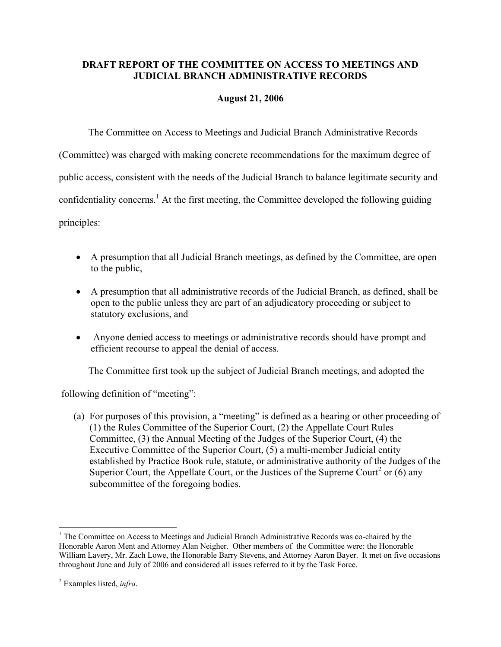## **DRAFT REPORT OF THE COMMITTEE ON ACCESS TO MEETINGS AND JUDICIAL BRANCH ADMINISTRATIVE RECORDS**

## **August 21, 2006**

The Committee on Access to Meetings and Judicial Branch Administrative Records

(Committee) was charged with making concrete recommendations for the maximum degree of

public access, consistent with the needs of the Judicial Branch to balance legitimate security and

confidentiality concerns.<sup>1</sup> At the first meeting, the Committee developed the following guiding

principles:

- A presumption that all Judicial Branch meetings, as defined by the Committee, are open to the public,
- A presumption that all administrative records of the Judicial Branch, as defined, shall be open to the public unless they are part of an adjudicatory proceeding or subject to statutory exclusions, and
- Anyone denied access to meetings or administrative records should have prompt and efficient recourse to appeal the denial of access.

The Committee first took up the subject of Judicial Branch meetings, and adopted the

following definition of "meeting":

(a) For purposes of this provision, a "meeting" is defined as a hearing or other proceeding of (1) the Rules Committee of the Superior Court, (2) the Appellate Court Rules Committee, (3) the Annual Meeting of the Judges of the Superior Court, (4) the Executive Committee of the Superior Court, (5) a multi-member Judicial entity established by Practice Book rule, statute, or administrative authority of the Judges of the Superior Court, the Appellate Court, or the Justices of the Supreme Court<sup>2</sup> or  $(6)$  any subcommittee of the foregoing bodies.

1

<sup>&</sup>lt;sup>1</sup> The Committee on Access to Meetings and Judicial Branch Administrative Records was co-chaired by the Honorable Aaron Ment and Attorney Alan Neigher. Other members of the Committee were: the Honorable William Lavery, Mr. Zach Lowe, the Honorable Barry Stevens, and Attorney Aaron Bayer. It met on five occasions throughout June and July of 2006 and considered all issues referred to it by the Task Force.

<sup>2</sup> Examples listed, *infra*.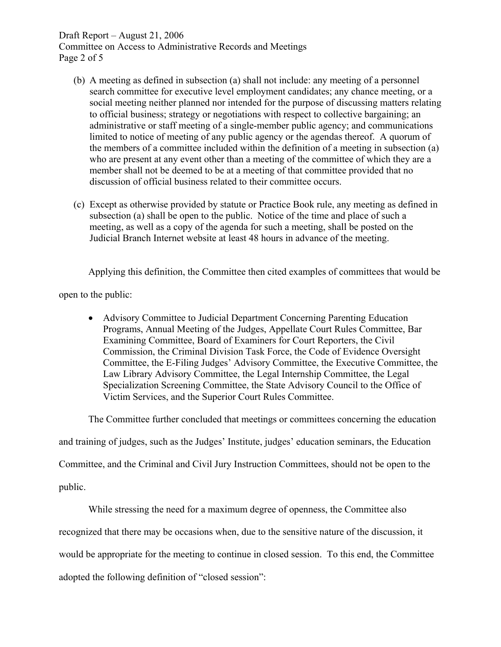Draft Report – August 21, 2006

Committee on Access to Administrative Records and Meetings Page 2 of 5

- (b) A meeting as defined in subsection (a) shall not include: any meeting of a personnel search committee for executive level employment candidates; any chance meeting, or a social meeting neither planned nor intended for the purpose of discussing matters relating to official business; strategy or negotiations with respect to collective bargaining; an administrative or staff meeting of a single-member public agency; and communications limited to notice of meeting of any public agency or the agendas thereof. A quorum of the members of a committee included within the definition of a meeting in subsection (a) who are present at any event other than a meeting of the committee of which they are a member shall not be deemed to be at a meeting of that committee provided that no discussion of official business related to their committee occurs.
- (c) Except as otherwise provided by statute or Practice Book rule, any meeting as defined in subsection (a) shall be open to the public. Notice of the time and place of such a meeting, as well as a copy of the agenda for such a meeting, shall be posted on the Judicial Branch Internet website at least 48 hours in advance of the meeting.

Applying this definition, the Committee then cited examples of committees that would be

open to the public:

• Advisory Committee to Judicial Department Concerning Parenting Education Programs, Annual Meeting of the Judges, Appellate Court Rules Committee, Bar Examining Committee, Board of Examiners for Court Reporters, the Civil Commission, the Criminal Division Task Force, the Code of Evidence Oversight Committee, the E-Filing Judges' Advisory Committee, the Executive Committee, the Law Library Advisory Committee, the Legal Internship Committee, the Legal Specialization Screening Committee, the State Advisory Council to the Office of Victim Services, and the Superior Court Rules Committee.

The Committee further concluded that meetings or committees concerning the education

and training of judges, such as the Judges' Institute, judges' education seminars, the Education

Committee, and the Criminal and Civil Jury Instruction Committees, should not be open to the

public.

While stressing the need for a maximum degree of openness, the Committee also

recognized that there may be occasions when, due to the sensitive nature of the discussion, it

would be appropriate for the meeting to continue in closed session. To this end, the Committee

adopted the following definition of "closed session":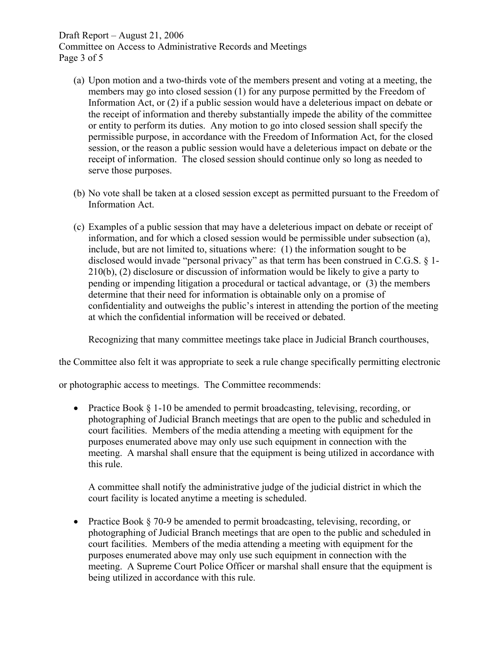## Draft Report – August 21, 2006

Committee on Access to Administrative Records and Meetings Page 3 of 5

- (a) Upon motion and a two-thirds vote of the members present and voting at a meeting, the members may go into closed session (1) for any purpose permitted by the Freedom of Information Act, or (2) if a public session would have a deleterious impact on debate or the receipt of information and thereby substantially impede the ability of the committee or entity to perform its duties. Any motion to go into closed session shall specify the permissible purpose, in accordance with the Freedom of Information Act, for the closed session, or the reason a public session would have a deleterious impact on debate or the receipt of information. The closed session should continue only so long as needed to serve those purposes.
- (b) No vote shall be taken at a closed session except as permitted pursuant to the Freedom of Information Act.
- (c) Examples of a public session that may have a deleterious impact on debate or receipt of information, and for which a closed session would be permissible under subsection (a), include, but are not limited to, situations where: (1) the information sought to be disclosed would invade "personal privacy" as that term has been construed in C.G.S. § 1- 210(b), (2) disclosure or discussion of information would be likely to give a party to pending or impending litigation a procedural or tactical advantage, or (3) the members determine that their need for information is obtainable only on a promise of confidentiality and outweighs the public's interest in attending the portion of the meeting at which the confidential information will be received or debated.

Recognizing that many committee meetings take place in Judicial Branch courthouses,

the Committee also felt it was appropriate to seek a rule change specifically permitting electronic

or photographic access to meetings. The Committee recommends:

• Practice Book § 1-10 be amended to permit broadcasting, televising, recording, or photographing of Judicial Branch meetings that are open to the public and scheduled in court facilities. Members of the media attending a meeting with equipment for the purposes enumerated above may only use such equipment in connection with the meeting. A marshal shall ensure that the equipment is being utilized in accordance with this rule.

A committee shall notify the administrative judge of the judicial district in which the court facility is located anytime a meeting is scheduled.

• Practice Book § 70-9 be amended to permit broadcasting, televising, recording, or photographing of Judicial Branch meetings that are open to the public and scheduled in court facilities. Members of the media attending a meeting with equipment for the purposes enumerated above may only use such equipment in connection with the meeting. A Supreme Court Police Officer or marshal shall ensure that the equipment is being utilized in accordance with this rule.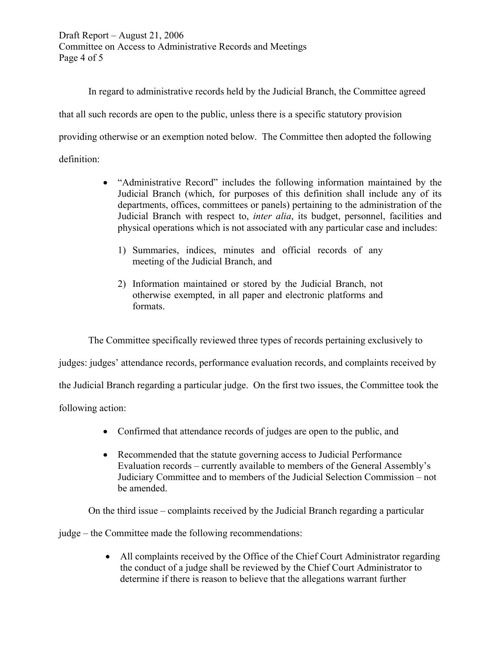Draft Report – August 21, 2006 Committee on Access to Administrative Records and Meetings Page 4 of 5

In regard to administrative records held by the Judicial Branch, the Committee agreed that all such records are open to the public, unless there is a specific statutory provision providing otherwise or an exemption noted below. The Committee then adopted the following definition:

- "Administrative Record" includes the following information maintained by the Judicial Branch (which, for purposes of this definition shall include any of its departments, offices, committees or panels) pertaining to the administration of the Judicial Branch with respect to, *inter alia*, its budget, personnel, facilities and physical operations which is not associated with any particular case and includes:
	- 1) Summaries, indices, minutes and official records of any meeting of the Judicial Branch, and
	- 2) Information maintained or stored by the Judicial Branch, not otherwise exempted, in all paper and electronic platforms and formats.

The Committee specifically reviewed three types of records pertaining exclusively to judges: judges' attendance records, performance evaluation records, and complaints received by

the Judicial Branch regarding a particular judge. On the first two issues, the Committee took the

following action:

- Confirmed that attendance records of judges are open to the public, and
- Recommended that the statute governing access to Judicial Performance Evaluation records – currently available to members of the General Assembly's Judiciary Committee and to members of the Judicial Selection Commission – not be amended.

On the third issue – complaints received by the Judicial Branch regarding a particular

judge – the Committee made the following recommendations:

• All complaints received by the Office of the Chief Court Administrator regarding the conduct of a judge shall be reviewed by the Chief Court Administrator to determine if there is reason to believe that the allegations warrant further